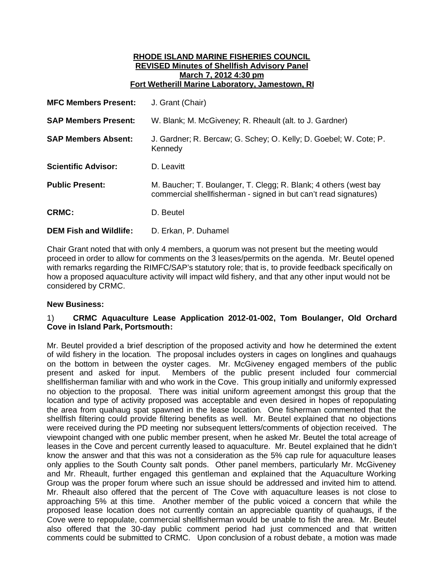#### **RHODE ISLAND MARINE FISHERIES COUNCIL REVISED Minutes of Shellfish Advisory Panel March 7, 2012 4:30 pm Fort Wetherill Marine Laboratory, Jamestown, RI**

| <b>MFC Members Present:</b>   | J. Grant (Chair)                                                                                                                     |
|-------------------------------|--------------------------------------------------------------------------------------------------------------------------------------|
| <b>SAP Members Present:</b>   | W. Blank; M. McGiveney; R. Rheault (alt. to J. Gardner)                                                                              |
| <b>SAP Members Absent:</b>    | J. Gardner; R. Bercaw; G. Schey; O. Kelly; D. Goebel; W. Cote; P.<br>Kennedy                                                         |
| <b>Scientific Advisor:</b>    | D. Leavitt                                                                                                                           |
| <b>Public Present:</b>        | M. Baucher; T. Boulanger, T. Clegg; R. Blank; 4 others (west bay<br>commercial shellfisherman - signed in but can't read signatures) |
| <b>CRMC:</b>                  | D. Beutel                                                                                                                            |
| <b>DEM Fish and Wildlife:</b> | D. Erkan, P. Duhamel                                                                                                                 |

Chair Grant noted that with only 4 members, a quorum was not present but the meeting would proceed in order to allow for comments on the 3 leases/permits on the agenda. Mr. Beutel opened with remarks regarding the RIMFC/SAP's statutory role; that is, to provide feedback specifically on how a proposed aquaculture activity will impact wild fishery, and that any other input would not be considered by CRMC.

# **New Business:**

# 1) **CRMC Aquaculture Lease Application 2012-01-002, Tom Boulanger, Old Orchard Cove in Island Park, Portsmouth:**

Mr. Beutel provided a brief description of the proposed activity and how he determined the extent of wild fishery in the location. The proposal includes oysters in cages on longlines and quahaugs on the bottom in between the oyster cages. Mr. McGiveney engaged members of the public present and asked for input. Members of the public present included four commercial shellfisherman familiar with and who work in the Cove. This group initially and uniformly expressed no objection to the proposal. There was initial uniform agreement amongst this group that the location and type of activity proposed was acceptable and even desired in hopes of repopulating the area from quahaug spat spawned in the lease location. One fisherman commented that the shellfish filtering could provide filtering benefits as well. Mr. Beutel explained that no objections were received during the PD meeting nor subsequent letters/comments of objection received. The viewpoint changed with one public member present, when he asked Mr. Beutel the total acreage of leases in the Cove and percent currently leased to aquaculture. Mr. Beutel explained that he didn't know the answer and that this was not a consideration as the 5% cap rule for aquaculture leases only applies to the South County salt ponds. Other panel members, particularly Mr. McGiveney and Mr. Rheault, further engaged this gentleman and explained that the Aquaculture Working Group was the proper forum where such an issue should be addressed and invited him to attend. Mr. Rheault also offered that the percent of The Cove with aquaculture leases is not close to approaching 5% at this time. Another member of the public voiced a concern that while the proposed lease location does not currently contain an appreciable quantity of quahaugs, if the Cove were to repopulate, commercial shellfisherman would be unable to fish the area. Mr. Beutel also offered that the 30-day public comment period had just commenced and that written comments could be submitted to CRMC. Upon conclusion of a robust debate, a motion was made